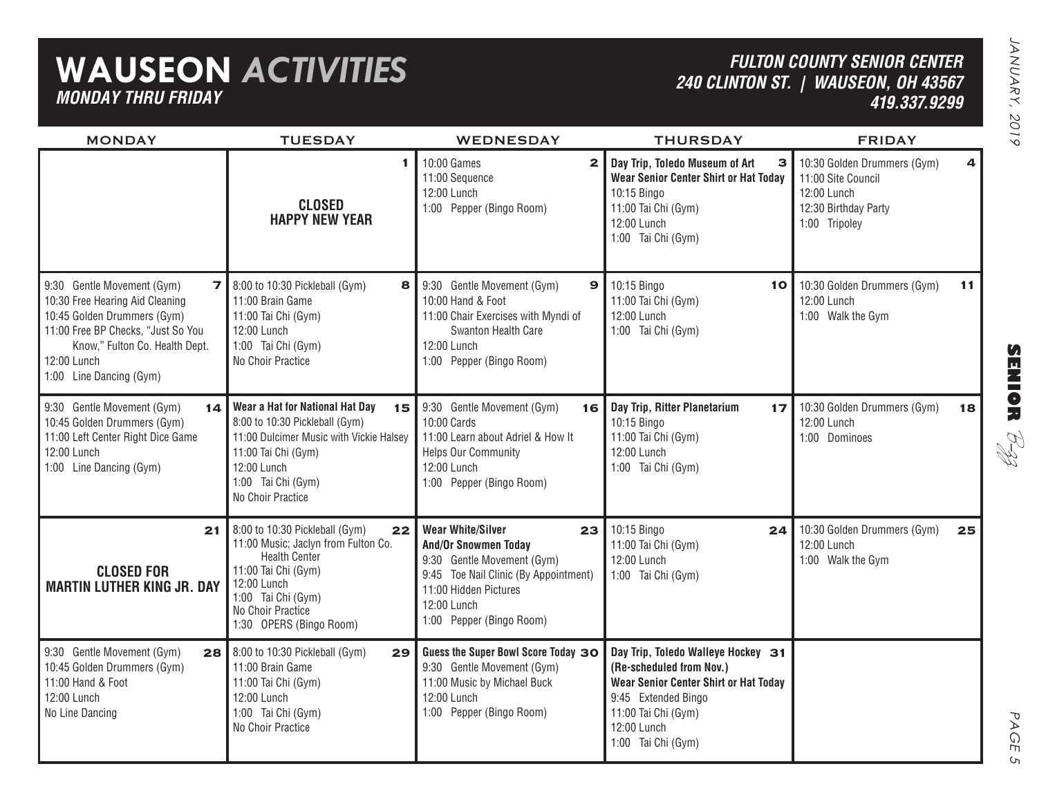### **WAUSEON** *ACTIVITIES MONDAY THRU FRIDAY*

#### *FULTON COUNTY SENIOR CENTER240 CLINTON ST. | WAUSEON, OH 43567 419.337.9299*

| <b>MONDAY</b>                                                                                                                                                                                                                  | <b>TUESDAY</b>                                                                                                                                                                                                  | <b>WEDNESDAY</b>                                                                                                                                                                                         | <b>THURSDAY</b>                                                                                                                                                                                   | <b>FRIDAY</b>                                                                                             |    |
|--------------------------------------------------------------------------------------------------------------------------------------------------------------------------------------------------------------------------------|-----------------------------------------------------------------------------------------------------------------------------------------------------------------------------------------------------------------|----------------------------------------------------------------------------------------------------------------------------------------------------------------------------------------------------------|---------------------------------------------------------------------------------------------------------------------------------------------------------------------------------------------------|-----------------------------------------------------------------------------------------------------------|----|
|                                                                                                                                                                                                                                | 1<br><b>CLOSED</b><br><b>HAPPY NEW YEAR</b>                                                                                                                                                                     | 10:00 Games<br>$\mathbf{2}$<br>11:00 Sequence<br>12:00 Lunch<br>1:00 Pepper (Bingo Room)                                                                                                                 | Day Trip, Toledo Museum of Art<br>з<br>Wear Senior Center Shirt or Hat Today<br>10:15 Bingo<br>11:00 Tai Chi (Gym)<br>12:00 Lunch<br>1:00 Tai Chi (Gym)                                           | 10:30 Golden Drummers (Gym)<br>11:00 Site Council<br>12:00 Lunch<br>12:30 Birthday Party<br>1:00 Tripoley | 4  |
| 9:30 Gentle Movement (Gym)<br>$\mathbf{7}$<br>10:30 Free Hearing Aid Cleaning<br>10:45 Golden Drummers (Gym)<br>11:00 Free BP Checks, "Just So You<br>Know," Fulton Co. Health Dept.<br>12:00 Lunch<br>1:00 Line Dancing (Gym) | 8:00 to 10:30 Pickleball (Gym)<br>8<br>11:00 Brain Game<br>11:00 Tai Chi (Gym)<br>12:00 Lunch<br>1:00 Tai Chi (Gym)<br>No Choir Practice                                                                        | 9:30 Gentle Movement (Gym)<br>9<br>10:00 Hand & Foot<br>11:00 Chair Exercises with Myndi of<br>Swanton Health Care<br>12:00 Lunch<br>1:00 Pepper (Bingo Room)                                            | 10:15 Bingo<br>10<br>11:00 Tai Chi (Gym)<br>12:00 Lunch<br>1:00 Tai Chi (Gym)                                                                                                                     | 10:30 Golden Drummers (Gym)<br>12:00 Lunch<br>1:00 Walk the Gym                                           | 11 |
| 9:30 Gentle Movement (Gym)<br>10:45 Golden Drummers (Gym)<br>11:00 Left Center Right Dice Game<br>12:00 Lunch<br>1:00 Line Dancing (Gym)                                                                                       | 14   Wear a Hat for National Hat Day<br>15<br>8:00 to 10:30 Pickleball (Gym)<br>11:00 Dulcimer Music with Vickie Halsey<br>11:00 Tai Chi (Gym)<br>12:00 Lunch<br>1:00 Tai Chi (Gym)<br>No Choir Practice        | 9:30 Gentle Movement (Gym)<br>16<br>10:00 Cards<br>11:00 Learn about Adriel & How It<br><b>Helps Our Community</b><br>12:00 Lunch<br>1:00 Pepper (Bingo Room)                                            | Day Trip, Ritter Planetarium<br>17 <sub>2</sub><br>10:15 Bingo<br>11:00 Tai Chi (Gym)<br>12:00 Lunch<br>1:00 Tai Chi (Gym)                                                                        | 10:30 Golden Drummers (Gym)<br>12:00 Lunch<br>1:00 Dominoes                                               | 18 |
| 21<br><b>CLOSED FOR</b><br><b>MARTIN LUTHER KING JR. DAY</b>                                                                                                                                                                   | 8:00 to 10:30 Pickleball (Gym)<br>22<br>11:00 Music; Jaclyn from Fulton Co.<br><b>Health Center</b><br>11:00 Tai Chi (Gym)<br>12:00 Lunch<br>1:00 Tai Chi (Gym)<br>No Choir Practice<br>1:30 OPERS (Bingo Room) | <b>Wear White/Silver</b><br>23<br><b>And/Or Snowmen Today</b><br>9:30 Gentle Movement (Gym)<br>9:45 Toe Nail Clinic (By Appointment)<br>11:00 Hidden Pictures<br>12:00 Lunch<br>1:00 Pepper (Bingo Room) | 10:15 Bingo<br>24<br>11:00 Tai Chi (Gym)<br>12:00 Lunch<br>1:00 Tai Chi (Gym)                                                                                                                     | 10:30 Golden Drummers (Gym)<br>12:00 Lunch<br>1:00 Walk the Gym                                           | 25 |
| 9:30 Gentle Movement (Gym)<br>10:45 Golden Drummers (Gym)<br>11:00 Hand & Foot<br>12:00 Lunch<br>No Line Dancing                                                                                                               | 28 8:00 to 10:30 Pickleball (Gym)<br>29<br>11:00 Brain Game<br>11:00 Tai Chi (Gym)<br>12:00 Lunch<br>1:00 Tai Chi (Gym)<br>No Choir Practice                                                                    | Guess the Super Bowl Score Today 30<br>9:30 Gentle Movement (Gym)<br>11:00 Music by Michael Buck<br>12:00 Lunch<br>1:00 Pepper (Bingo Room)                                                              | Day Trip, Toledo Walleye Hockey 31<br>(Re-scheduled from Nov.)<br><b>Wear Senior Center Shirt or Hat Today</b><br>9:45 Extended Bingo<br>11:00 Tai Chi (Gym)<br>12:00 Lunch<br>1:00 Tai Chi (Gym) |                                                                                                           |    |

**SENIOR** B-zz

> PAGE PAGE 5  $\mathsf{C}_{\mathsf{L}}$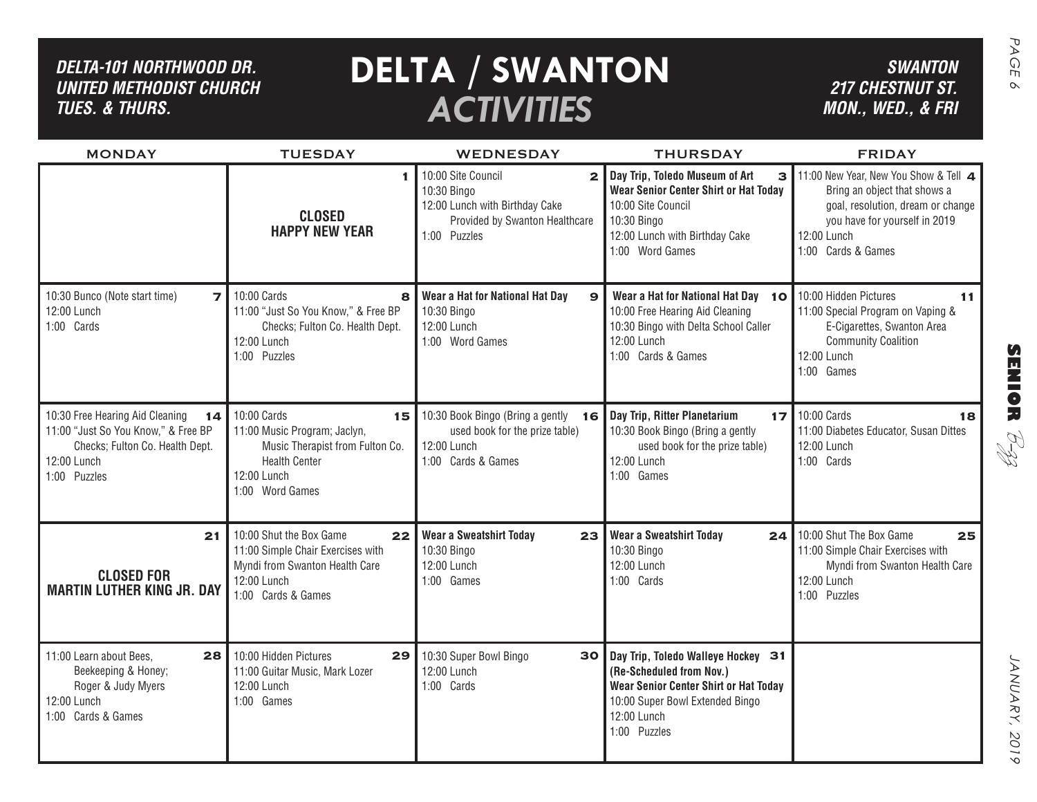### *DELTA-101 Northwood dr. United methodist church TUES. & THURS.*

# **DELTA** / SWANTON SWANTON *ACTIVITIES*

*SWANTON 217 CHESTNUT ST. MON., WED., & FRI*

| <b>MONDAY</b>                                                                                                                                  | <b>TUESDAY</b>                                                                                                                                 | WEDNESDAY                                                                                                                               | <b>THURSDAY</b>                                                                                                                                                                                     | <b>FRIDAY</b>                                                                                                                                                                    |
|------------------------------------------------------------------------------------------------------------------------------------------------|------------------------------------------------------------------------------------------------------------------------------------------------|-----------------------------------------------------------------------------------------------------------------------------------------|-----------------------------------------------------------------------------------------------------------------------------------------------------------------------------------------------------|----------------------------------------------------------------------------------------------------------------------------------------------------------------------------------|
|                                                                                                                                                | <b>CLOSED</b><br><b>HAPPY NEW YEAR</b>                                                                                                         | 10:00 Site Council<br>$\overline{2}$<br>10:30 Bingo<br>12:00 Lunch with Birthday Cake<br>Provided by Swanton Healthcare<br>1:00 Puzzles | Day Trip, Toledo Museum of Art<br>$\overline{\mathbf{3}}$<br><b>Wear Senior Center Shirt or Hat Today</b><br>10:00 Site Council<br>10:30 Bingo<br>12:00 Lunch with Birthday Cake<br>1:00 Word Games | 11:00 New Year, New You Show & Tell 4<br>Bring an object that shows a<br>goal, resolution, dream or change<br>you have for yourself in 2019<br>12:00 Lunch<br>1:00 Cards & Games |
| 10:30 Bunco (Note start time)<br>$\overline{z}$<br>12:00 Lunch<br>1:00 Cards                                                                   | 10:00 Cards<br>8<br>11:00 "Just So You Know," & Free BP<br>Checks; Fulton Co. Health Dept.<br>12:00 Lunch<br>1:00 Puzzles                      | Wear a Hat for National Hat Day<br>$\mathbf{9}$<br>10:30 Bingo<br>12:00 Lunch<br>1:00 Word Games                                        | Wear a Hat for National Hat Day 10<br>10:00 Free Hearing Aid Cleaning<br>10:30 Bingo with Delta School Caller<br>12:00 Lunch<br>1:00 Cards & Games                                                  | 10:00 Hidden Pictures<br>11<br>11:00 Special Program on Vaping &<br>E-Cigarettes, Swanton Area<br><b>Community Coalition</b><br>12:00 Lunch<br>1:00 Games                        |
| 10:30 Free Hearing Aid Cleaning<br>14<br>11:00 "Just So You Know," & Free BP<br>Checks; Fulton Co. Health Dept.<br>12:00 Lunch<br>1:00 Puzzles | 10:00 Cards<br>15<br>11:00 Music Program; Jaclyn,<br>Music Therapist from Fulton Co.<br><b>Health Center</b><br>12:00 Lunch<br>1:00 Word Games | 10:30 Book Bingo (Bring a gently<br>16<br>used book for the prize table)<br>12:00 Lunch<br>1:00 Cards & Games                           | Day Trip, Ritter Planetarium<br>10:30 Book Bingo (Bring a gently<br>used book for the prize table)<br>12:00 Lunch<br>1:00 Games                                                                     | 17 10:00 Cards<br>18<br>11:00 Diabetes Educator, Susan Dittes<br>12:00 Lunch<br>1:00 Cards                                                                                       |
| 21<br><b>CLOSED FOR</b><br><b>MARTIN LUTHER KING JR. DAY</b>                                                                                   | 10:00 Shut the Box Game<br>22<br>11:00 Simple Chair Exercises with<br>Myndi from Swanton Health Care<br>12:00 Lunch<br>1:00 Cards & Games      | Wear a Sweatshirt Today<br>23<br>10:30 Bingo<br>12:00 Lunch<br>1:00 Games                                                               | Wear a Sweatshirt Today<br>24 <sup>1</sup><br>10:30 Bingo<br>12:00 Lunch<br>1:00 Cards                                                                                                              | 10:00 Shut The Box Game<br>25<br>11:00 Simple Chair Exercises with<br>Myndi from Swanton Health Care<br>12:00 Lunch<br>1:00 Puzzles                                              |
| 11:00 Learn about Bees.<br>28 I<br>Beekeeping & Honey;<br>Roger & Judy Myers<br>12:00 Lunch<br>1:00 Cards & Games                              | 10:00 Hidden Pictures<br>11:00 Guitar Music, Mark Lozer<br>12:00 Lunch<br>1:00 Games                                                           | 29 10:30 Super Bowl Bingo<br>30<br>12:00 Lunch<br>1:00 Cards                                                                            | Day Trip, Toledo Walleye Hockey 31<br>(Re-Scheduled from Nov.)<br>Wear Senior Center Shirt or Hat Today<br>10:00 Super Bowl Extended Bingo<br>12:00 Lunch<br>1:00 Puzzles                           |                                                                                                                                                                                  |

SENIOR *P-33* january, 2019 **SENIOR** B-zz